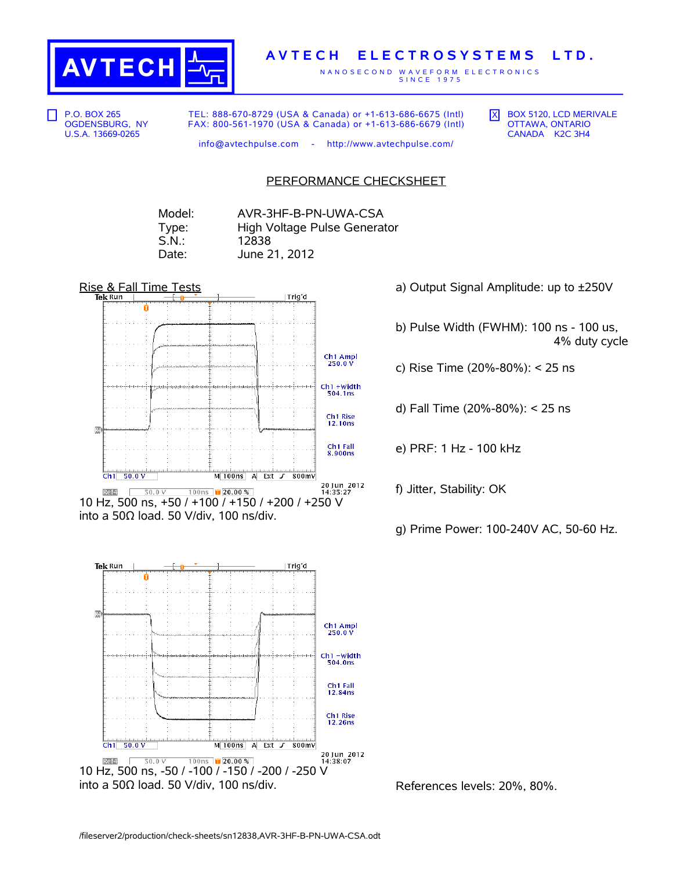

## **A V T E C H E L E C T R O S Y S T E M S L T D .**

N A N O S E C O N D W A V E F O R M E L E C T R O N I C S S I N C E 1 9 7 5

P.O. BOX 265 OGDENSBURG, NY U.S.A. 13669-0265

TEL: 888-670-8729 (USA & Canada) or +1-613-686-6675 (Intl) FAX: 800-561-1970 (USA & Canada) or +1-613-686-6679 (Intl)  $\overline{X}$  BOX 5120, LCD MERIVALE OTTAWA, ONTARIO CANADA K2C 3H4

info@avtechpulse.com - http://www.avtechpulse.com/

PERFORMANCE CHECKSHEET

Model: AVR-3HF-B-PN-UWA-CSA Type: High Voltage Pulse Generator S.N.: 12838 Date: June 21, 2012



10 Hz, 500 ns, +50 / +100 / +150 / +200 / +250 V into a 50Ω load. 50 V/div, 100 ns/div.



- a) Output Signal Amplitude: up to ±250V
- b) Pulse Width (FWHM): 100 ns 100 us, 4% duty cycle
- c) Rise Time (20%-80%): < 25 ns
- d) Fall Time (20%-80%): < 25 ns
- e) PRF: 1 Hz 100 kHz
- f) Jitter, Stability: OK
- g) Prime Power: 100-240V AC, 50-60 Hz.

References levels: 20%, 80%.